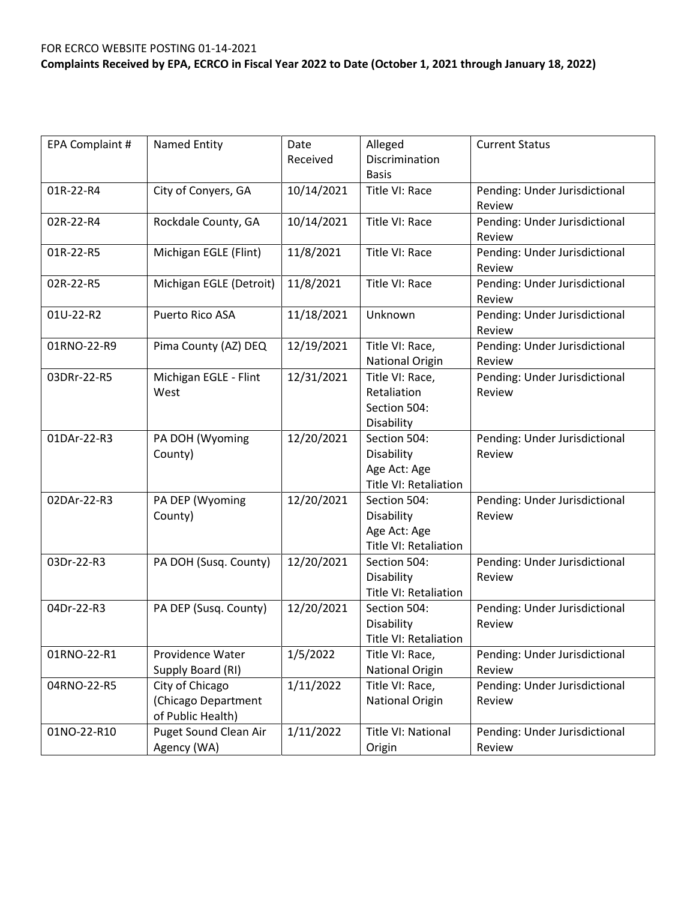| EPA Complaint # | Named Entity                                                | Date<br>Received | Alleged<br>Discrimination<br><b>Basis</b>                                  | <b>Current Status</b>                   |
|-----------------|-------------------------------------------------------------|------------------|----------------------------------------------------------------------------|-----------------------------------------|
| 01R-22-R4       | City of Conyers, GA                                         | 10/14/2021       | Title VI: Race                                                             | Pending: Under Jurisdictional<br>Review |
| 02R-22-R4       | Rockdale County, GA                                         | 10/14/2021       | Title VI: Race                                                             | Pending: Under Jurisdictional<br>Review |
| 01R-22-R5       | Michigan EGLE (Flint)                                       | 11/8/2021        | Title VI: Race                                                             | Pending: Under Jurisdictional<br>Review |
| 02R-22-R5       | Michigan EGLE (Detroit)                                     | 11/8/2021        | Title VI: Race                                                             | Pending: Under Jurisdictional<br>Review |
| 01U-22-R2       | Puerto Rico ASA                                             | 11/18/2021       | Unknown                                                                    | Pending: Under Jurisdictional<br>Review |
| 01RNO-22-R9     | Pima County (AZ) DEQ                                        | 12/19/2021       | Title VI: Race,<br>National Origin                                         | Pending: Under Jurisdictional<br>Review |
| 03DRr-22-R5     | Michigan EGLE - Flint<br>West                               | 12/31/2021       | Title VI: Race,<br>Retaliation<br>Section 504:<br>Disability               | Pending: Under Jurisdictional<br>Review |
| 01DAr-22-R3     | PA DOH (Wyoming<br>County)                                  | 12/20/2021       | Section 504:<br>Disability<br>Age Act: Age<br><b>Title VI: Retaliation</b> | Pending: Under Jurisdictional<br>Review |
| 02DAr-22-R3     | PA DEP (Wyoming<br>County)                                  | 12/20/2021       | Section 504:<br>Disability<br>Age Act: Age<br>Title VI: Retaliation        | Pending: Under Jurisdictional<br>Review |
| 03Dr-22-R3      | PA DOH (Susq. County)                                       | 12/20/2021       | Section 504:<br>Disability<br><b>Title VI: Retaliation</b>                 | Pending: Under Jurisdictional<br>Review |
| 04Dr-22-R3      | PA DEP (Susq. County)                                       | 12/20/2021       | Section 504:<br>Disability<br>Title VI: Retaliation                        | Pending: Under Jurisdictional<br>Review |
| 01RNO-22-R1     | Providence Water<br>Supply Board (RI)                       | 1/5/2022         | Title VI: Race,<br>National Origin                                         | Pending: Under Jurisdictional<br>Review |
| 04RNO-22-R5     | City of Chicago<br>(Chicago Department<br>of Public Health) | 1/11/2022        | Title VI: Race,<br>National Origin                                         | Pending: Under Jurisdictional<br>Review |
| 01NO-22-R10     | Puget Sound Clean Air<br>Agency (WA)                        | 1/11/2022        | Title VI: National<br>Origin                                               | Pending: Under Jurisdictional<br>Review |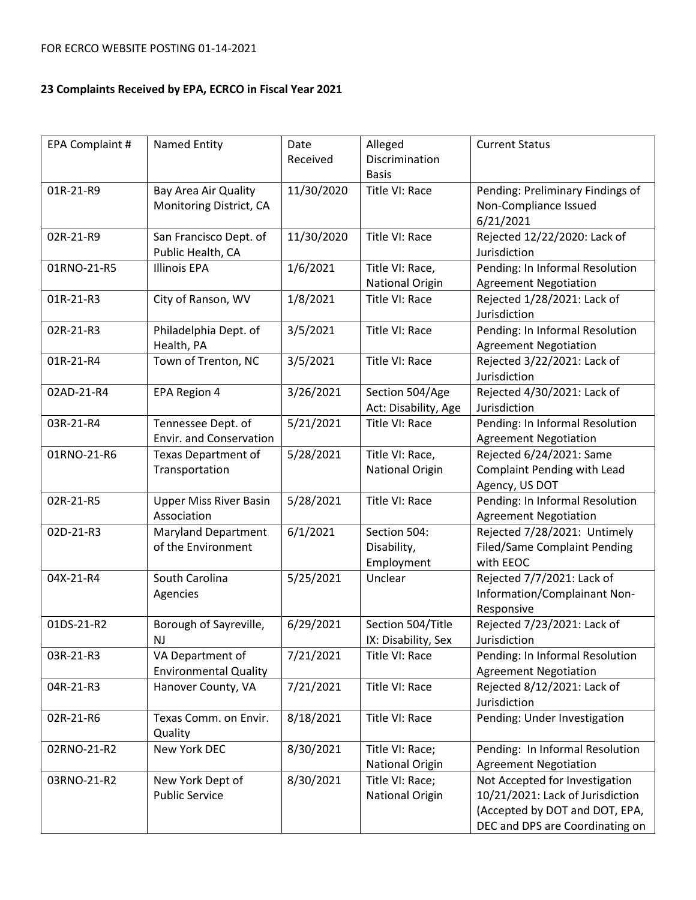| EPA Complaint # | Named Entity                                         | Date<br>Received | Alleged<br>Discrimination<br><b>Basis</b> | <b>Current Status</b>                                                                                                                   |
|-----------------|------------------------------------------------------|------------------|-------------------------------------------|-----------------------------------------------------------------------------------------------------------------------------------------|
| 01R-21-R9       | Bay Area Air Quality<br>Monitoring District, CA      | 11/30/2020       | Title VI: Race                            | Pending: Preliminary Findings of<br>Non-Compliance Issued<br>6/21/2021                                                                  |
| 02R-21-R9       | San Francisco Dept. of<br>Public Health, CA          | 11/30/2020       | Title VI: Race                            | Rejected 12/22/2020: Lack of<br>Jurisdiction                                                                                            |
| 01RNO-21-R5     | <b>Illinois EPA</b>                                  | 1/6/2021         | Title VI: Race,<br>National Origin        | Pending: In Informal Resolution<br><b>Agreement Negotiation</b>                                                                         |
| 01R-21-R3       | City of Ranson, WV                                   | 1/8/2021         | Title VI: Race                            | Rejected 1/28/2021: Lack of<br>Jurisdiction                                                                                             |
| 02R-21-R3       | Philadelphia Dept. of<br>Health, PA                  | 3/5/2021         | Title VI: Race                            | Pending: In Informal Resolution<br><b>Agreement Negotiation</b>                                                                         |
| 01R-21-R4       | Town of Trenton, NC                                  | 3/5/2021         | Title VI: Race                            | Rejected 3/22/2021: Lack of<br>Jurisdiction                                                                                             |
| 02AD-21-R4      | EPA Region 4                                         | 3/26/2021        | Section 504/Age<br>Act: Disability, Age   | Rejected 4/30/2021: Lack of<br>Jurisdiction                                                                                             |
| 03R-21-R4       | Tennessee Dept. of<br><b>Envir. and Conservation</b> | 5/21/2021        | Title VI: Race                            | Pending: In Informal Resolution<br><b>Agreement Negotiation</b>                                                                         |
| 01RNO-21-R6     | <b>Texas Department of</b><br>Transportation         | 5/28/2021        | Title VI: Race,<br><b>National Origin</b> | Rejected 6/24/2021: Same<br><b>Complaint Pending with Lead</b><br>Agency, US DOT                                                        |
| 02R-21-R5       | <b>Upper Miss River Basin</b><br>Association         | 5/28/2021        | Title VI: Race                            | Pending: In Informal Resolution<br><b>Agreement Negotiation</b>                                                                         |
| 02D-21-R3       | <b>Maryland Department</b><br>of the Environment     | 6/1/2021         | Section 504:<br>Disability,<br>Employment | Rejected 7/28/2021: Untimely<br><b>Filed/Same Complaint Pending</b><br>with EEOC                                                        |
| 04X-21-R4       | South Carolina<br>Agencies                           | 5/25/2021        | Unclear                                   | Rejected 7/7/2021: Lack of<br>Information/Complainant Non-<br>Responsive                                                                |
| 01DS-21-R2      | Borough of Sayreville,<br>NJ.                        | 6/29/2021        | Section 504/Title<br>IX: Disability, Sex  | Rejected 7/23/2021: Lack of<br>Jurisdiction                                                                                             |
| 03R-21-R3       | VA Department of<br><b>Environmental Quality</b>     | 7/21/2021        | Title VI: Race                            | Pending: In Informal Resolution<br><b>Agreement Negotiation</b>                                                                         |
| 04R-21-R3       | Hanover County, VA                                   | 7/21/2021        | Title VI: Race                            | Rejected 8/12/2021: Lack of<br>Jurisdiction                                                                                             |
| 02R-21-R6       | Texas Comm. on Envir.<br>Quality                     | 8/18/2021        | Title VI: Race                            | Pending: Under Investigation                                                                                                            |
| 02RNO-21-R2     | New York DEC                                         | 8/30/2021        | Title VI: Race;<br><b>National Origin</b> | Pending: In Informal Resolution<br><b>Agreement Negotiation</b>                                                                         |
| 03RNO-21-R2     | New York Dept of<br><b>Public Service</b>            | 8/30/2021        | Title VI: Race;<br><b>National Origin</b> | Not Accepted for Investigation<br>10/21/2021: Lack of Jurisdiction<br>(Accepted by DOT and DOT, EPA,<br>DEC and DPS are Coordinating on |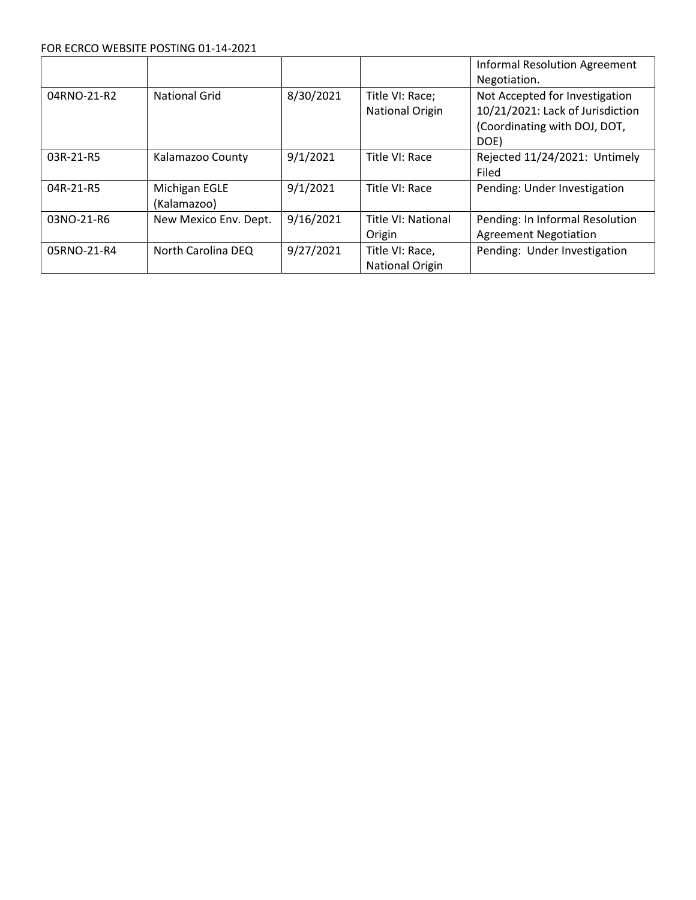#### FOR ECRCO WEBSITE POSTING 01-14-2021

|             |                              |           |                                    | <b>Informal Resolution Agreement</b>                                                                       |
|-------------|------------------------------|-----------|------------------------------------|------------------------------------------------------------------------------------------------------------|
|             |                              |           |                                    | Negotiation.                                                                                               |
| 04RNO-21-R2 | <b>National Grid</b>         | 8/30/2021 | Title VI: Race;<br>National Origin | Not Accepted for Investigation<br>10/21/2021: Lack of Jurisdiction<br>(Coordinating with DOJ, DOT,<br>DOE) |
| 03R-21-R5   | Kalamazoo County             | 9/1/2021  | Title VI: Race                     | Rejected 11/24/2021: Untimely<br>Filed                                                                     |
| 04R-21-R5   | Michigan EGLE<br>(Kalamazoo) | 9/1/2021  | Title VI: Race                     | Pending: Under Investigation                                                                               |
| 03NO-21-R6  | New Mexico Env. Dept.        | 9/16/2021 | Title VI: National<br>Origin       | Pending: In Informal Resolution<br><b>Agreement Negotiation</b>                                            |
| 05RNO-21-R4 | North Carolina DEQ           | 9/27/2021 | Title VI: Race,<br>National Origin | Pending: Under Investigation                                                                               |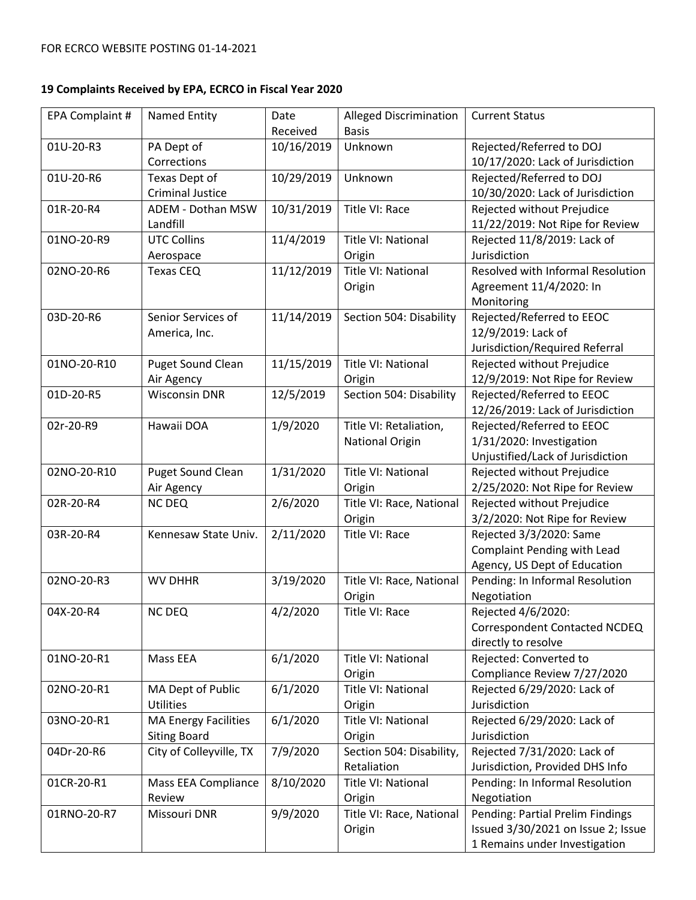| EPA Complaint # | Named Entity                | Date       | <b>Alleged Discrimination</b>      | <b>Current Status</b>                                        |
|-----------------|-----------------------------|------------|------------------------------------|--------------------------------------------------------------|
|                 |                             | Received   | <b>Basis</b>                       |                                                              |
| 01U-20-R3       | PA Dept of<br>Corrections   | 10/16/2019 | Unknown                            | Rejected/Referred to DOJ<br>10/17/2020: Lack of Jurisdiction |
| 01U-20-R6       | Texas Dept of               | 10/29/2019 | Unknown                            | Rejected/Referred to DOJ                                     |
|                 | <b>Criminal Justice</b>     |            |                                    | 10/30/2020: Lack of Jurisdiction                             |
| 01R-20-R4       | ADEM - Dothan MSW           | 10/31/2019 | Title VI: Race                     | Rejected without Prejudice                                   |
|                 | Landfill                    |            |                                    | 11/22/2019: Not Ripe for Review                              |
| 01NO-20-R9      | <b>UTC Collins</b>          | 11/4/2019  | Title VI: National                 | Rejected 11/8/2019: Lack of                                  |
|                 | Aerospace                   |            | Origin                             | Jurisdiction                                                 |
| 02NO-20-R6      | Texas CEQ                   | 11/12/2019 | Title VI: National                 | Resolved with Informal Resolution                            |
|                 |                             |            | Origin                             | Agreement 11/4/2020: In                                      |
|                 |                             |            |                                    | Monitoring                                                   |
| 03D-20-R6       | Senior Services of          | 11/14/2019 | Section 504: Disability            | Rejected/Referred to EEOC                                    |
|                 | America, Inc.               |            |                                    | 12/9/2019: Lack of                                           |
|                 |                             |            |                                    | Jurisdiction/Required Referral                               |
| 01NO-20-R10     | <b>Puget Sound Clean</b>    | 11/15/2019 | Title VI: National                 | Rejected without Prejudice                                   |
|                 | Air Agency                  |            | Origin                             | 12/9/2019: Not Ripe for Review                               |
| 01D-20-R5       | <b>Wisconsin DNR</b>        | 12/5/2019  | Section 504: Disability            | Rejected/Referred to EEOC                                    |
|                 |                             |            |                                    | 12/26/2019: Lack of Jurisdiction                             |
| 02r-20-R9       | Hawaii DOA                  | 1/9/2020   | Title VI: Retaliation,             | Rejected/Referred to EEOC                                    |
|                 |                             |            | <b>National Origin</b>             | 1/31/2020: Investigation                                     |
|                 |                             |            |                                    | Unjustified/Lack of Jurisdiction                             |
| 02NO-20-R10     | <b>Puget Sound Clean</b>    | 1/31/2020  | Title VI: National                 | Rejected without Prejudice                                   |
|                 | Air Agency                  |            | Origin                             | 2/25/2020: Not Ripe for Review                               |
| 02R-20-R4       | <b>NC DEQ</b>               | 2/6/2020   | Title VI: Race, National           | Rejected without Prejudice                                   |
|                 |                             |            | Origin                             | 3/2/2020: Not Ripe for Review                                |
| 03R-20-R4       | Kennesaw State Univ.        | 2/11/2020  | Title VI: Race                     | Rejected 3/3/2020: Same                                      |
|                 |                             |            |                                    | <b>Complaint Pending with Lead</b>                           |
|                 |                             |            |                                    | Agency, US Dept of Education                                 |
| 02NO-20-R3      | <b>WV DHHR</b>              | 3/19/2020  | Title VI: Race, National           | Pending: In Informal Resolution                              |
|                 |                             |            | Origin                             | Negotiation                                                  |
| 04X-20-R4       | <b>NC DEQ</b>               | 4/2/2020   | Title VI: Race                     | Rejected 4/6/2020:                                           |
|                 |                             |            |                                    | Correspondent Contacted NCDEQ                                |
|                 |                             |            |                                    | directly to resolve                                          |
| 01NO-20-R1      | Mass EEA                    | 6/1/2020   | Title VI: National                 | Rejected: Converted to                                       |
|                 |                             |            | Origin                             | Compliance Review 7/27/2020                                  |
| 02NO-20-R1      | MA Dept of Public           | 6/1/2020   | Title VI: National                 | Rejected 6/29/2020: Lack of                                  |
|                 | <b>Utilities</b>            |            | Origin                             | Jurisdiction                                                 |
| 03NO-20-R1      | <b>MA Energy Facilities</b> | 6/1/2020   | Title VI: National                 | Rejected 6/29/2020: Lack of                                  |
|                 | <b>Siting Board</b>         |            | Origin                             | Jurisdiction                                                 |
| 04Dr-20-R6      | City of Colleyville, TX     | 7/9/2020   | Section 504: Disability,           | Rejected 7/31/2020: Lack of                                  |
|                 |                             |            | Retaliation                        | Jurisdiction, Provided DHS Info                              |
| 01CR-20-R1      | Mass EEA Compliance         | 8/10/2020  | Title VI: National                 | Pending: In Informal Resolution                              |
|                 | Review                      |            | Origin                             | Negotiation<br>Pending: Partial Prelim Findings              |
| 01RNO-20-R7     | Missouri DNR                | 9/9/2020   | Title VI: Race, National<br>Origin | Issued 3/30/2021 on Issue 2; Issue                           |
|                 |                             |            |                                    | 1 Remains under Investigation                                |
|                 |                             |            |                                    |                                                              |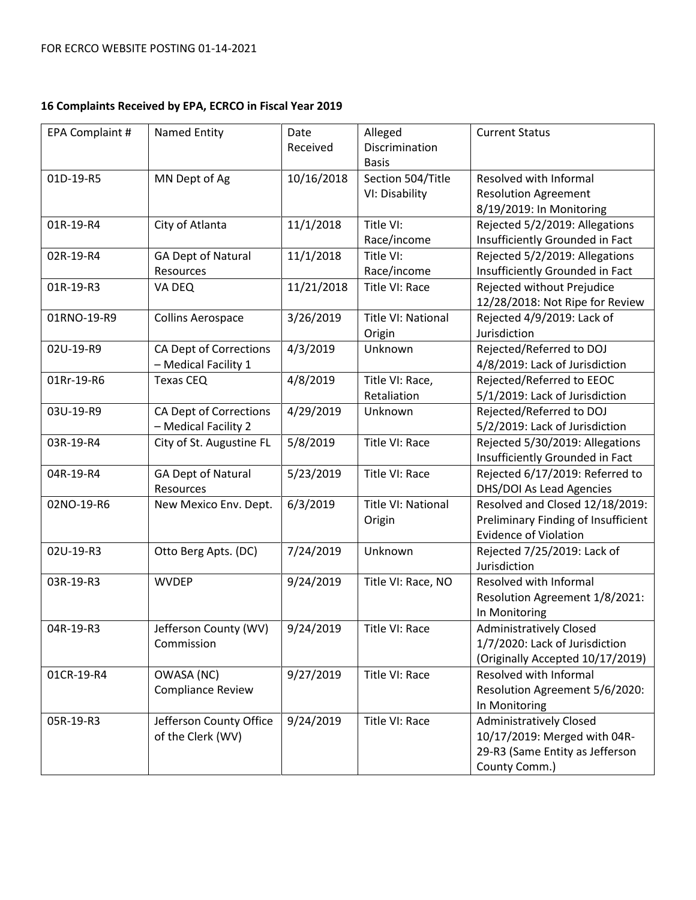| EPA Complaint # | <b>Named Entity</b>                            | Date<br>Received | Alleged<br>Discrimination<br><b>Basis</b> | <b>Current Status</b>                                                                                              |
|-----------------|------------------------------------------------|------------------|-------------------------------------------|--------------------------------------------------------------------------------------------------------------------|
| 01D-19-R5       | MN Dept of Ag                                  | 10/16/2018       | Section 504/Title<br>VI: Disability       | Resolved with Informal<br><b>Resolution Agreement</b><br>8/19/2019: In Monitoring                                  |
| 01R-19-R4       | City of Atlanta                                | 11/1/2018        | Title VI:<br>Race/income                  | Rejected 5/2/2019: Allegations<br>Insufficiently Grounded in Fact                                                  |
| 02R-19-R4       | <b>GA Dept of Natural</b><br>Resources         | 11/1/2018        | Title VI:<br>Race/income                  | Rejected 5/2/2019: Allegations<br>Insufficiently Grounded in Fact                                                  |
| 01R-19-R3       | VA DEQ                                         | 11/21/2018       | Title VI: Race                            | Rejected without Prejudice<br>12/28/2018: Not Ripe for Review                                                      |
| 01RNO-19-R9     | <b>Collins Aerospace</b>                       | 3/26/2019        | Title VI: National<br>Origin              | Rejected 4/9/2019: Lack of<br>Jurisdiction                                                                         |
| 02U-19-R9       | CA Dept of Corrections<br>- Medical Facility 1 | 4/3/2019         | Unknown                                   | Rejected/Referred to DOJ<br>4/8/2019: Lack of Jurisdiction                                                         |
| 01Rr-19-R6      | <b>Texas CEQ</b>                               | 4/8/2019         | Title VI: Race,<br>Retaliation            | Rejected/Referred to EEOC<br>5/1/2019: Lack of Jurisdiction                                                        |
| 03U-19-R9       | CA Dept of Corrections<br>- Medical Facility 2 | 4/29/2019        | Unknown                                   | Rejected/Referred to DOJ<br>5/2/2019: Lack of Jurisdiction                                                         |
| 03R-19-R4       | City of St. Augustine FL                       | 5/8/2019         | Title VI: Race                            | Rejected 5/30/2019: Allegations<br>Insufficiently Grounded in Fact                                                 |
| 04R-19-R4       | <b>GA Dept of Natural</b><br>Resources         | 5/23/2019        | Title VI: Race                            | Rejected 6/17/2019: Referred to<br>DHS/DOI As Lead Agencies                                                        |
| 02NO-19-R6      | New Mexico Env. Dept.                          | 6/3/2019         | Title VI: National<br>Origin              | Resolved and Closed 12/18/2019:<br>Preliminary Finding of Insufficient<br><b>Evidence of Violation</b>             |
| 02U-19-R3       | Otto Berg Apts. (DC)                           | 7/24/2019        | Unknown                                   | Rejected 7/25/2019: Lack of<br>Jurisdiction                                                                        |
| 03R-19-R3       | <b>WVDEP</b>                                   | 9/24/2019        | Title VI: Race, NO                        | Resolved with Informal<br>Resolution Agreement 1/8/2021:<br>In Monitoring                                          |
| 04R-19-R3       | Jefferson County (WV)<br>Commission            | 9/24/2019        | Title VI: Race                            | <b>Administratively Closed</b><br>1/7/2020: Lack of Jurisdiction<br>(Originally Accepted 10/17/2019)               |
| 01CR-19-R4      | OWASA (NC)<br><b>Compliance Review</b>         | 9/27/2019        | Title VI: Race                            | Resolved with Informal<br>Resolution Agreement 5/6/2020:<br>In Monitoring                                          |
| 05R-19-R3       | Jefferson County Office<br>of the Clerk (WV)   | 9/24/2019        | Title VI: Race                            | <b>Administratively Closed</b><br>10/17/2019: Merged with 04R-<br>29-R3 (Same Entity as Jefferson<br>County Comm.) |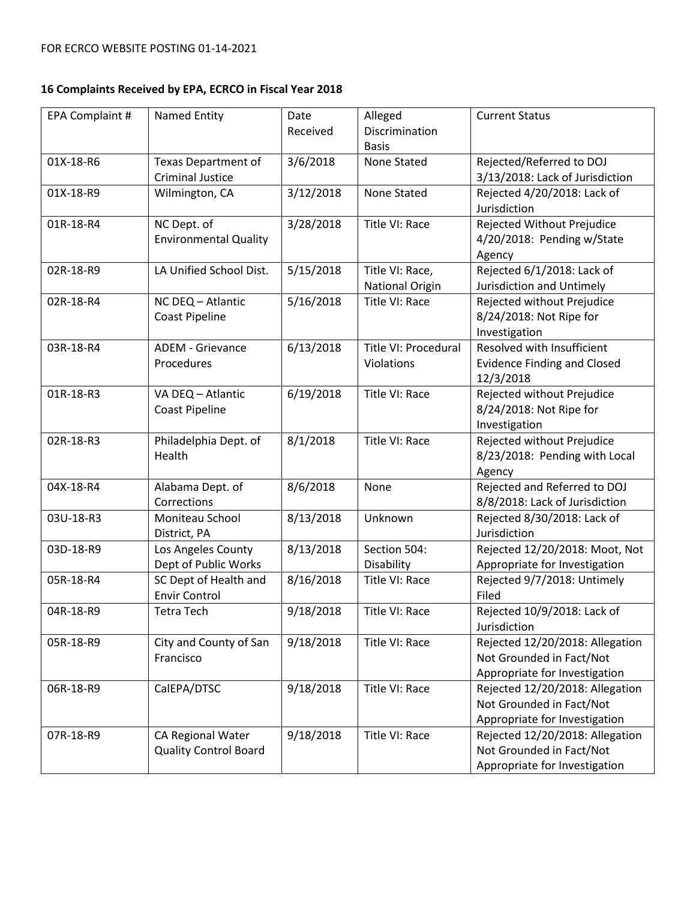| EPA Complaint # | Named Entity                                          | Date<br>Received | Alleged<br>Discrimination                 | <b>Current Status</b>                                                                        |
|-----------------|-------------------------------------------------------|------------------|-------------------------------------------|----------------------------------------------------------------------------------------------|
|                 |                                                       |                  | <b>Basis</b>                              |                                                                                              |
| 01X-18-R6       | <b>Texas Department of</b><br><b>Criminal Justice</b> | 3/6/2018         | <b>None Stated</b>                        | Rejected/Referred to DOJ<br>3/13/2018: Lack of Jurisdiction                                  |
| 01X-18-R9       | Wilmington, CA                                        | 3/12/2018        | None Stated                               | Rejected 4/20/2018: Lack of<br>Jurisdiction                                                  |
| 01R-18-R4       | NC Dept. of<br><b>Environmental Quality</b>           | 3/28/2018        | Title VI: Race                            | Rejected Without Prejudice<br>4/20/2018: Pending w/State<br>Agency                           |
| 02R-18-R9       | LA Unified School Dist.                               | 5/15/2018        | Title VI: Race,<br><b>National Origin</b> | Rejected 6/1/2018: Lack of<br>Jurisdiction and Untimely                                      |
| 02R-18-R4       | NC DEQ - Atlantic<br><b>Coast Pipeline</b>            | 5/16/2018        | Title VI: Race                            | Rejected without Prejudice<br>8/24/2018: Not Ripe for<br>Investigation                       |
| 03R-18-R4       | <b>ADEM - Grievance</b><br>Procedures                 | 6/13/2018        | Title VI: Procedural<br>Violations        | Resolved with Insufficient<br><b>Evidence Finding and Closed</b><br>12/3/2018                |
| 01R-18-R3       | VA DEQ - Atlantic<br><b>Coast Pipeline</b>            | 6/19/2018        | Title VI: Race                            | Rejected without Prejudice<br>8/24/2018: Not Ripe for<br>Investigation                       |
| 02R-18-R3       | Philadelphia Dept. of<br>Health                       | 8/1/2018         | Title VI: Race                            | Rejected without Prejudice<br>8/23/2018: Pending with Local<br>Agency                        |
| 04X-18-R4       | Alabama Dept. of<br>Corrections                       | 8/6/2018         | None                                      | Rejected and Referred to DOJ<br>8/8/2018: Lack of Jurisdiction                               |
| 03U-18-R3       | Moniteau School<br>District, PA                       | 8/13/2018        | Unknown                                   | Rejected 8/30/2018: Lack of<br>Jurisdiction                                                  |
| 03D-18-R9       | Los Angeles County<br>Dept of Public Works            | 8/13/2018        | Section 504:<br>Disability                | Rejected 12/20/2018: Moot, Not<br>Appropriate for Investigation                              |
| 05R-18-R4       | SC Dept of Health and<br><b>Envir Control</b>         | 8/16/2018        | Title VI: Race                            | Rejected 9/7/2018: Untimely<br>Filed                                                         |
| 04R-18-R9       | Tetra Tech                                            | 9/18/2018        | Title VI: Race                            | Rejected 10/9/2018: Lack of<br>Jurisdiction                                                  |
| 05R-18-R9       | City and County of San<br>Francisco                   | 9/18/2018        | Title VI: Race                            | Rejected 12/20/2018: Allegation<br>Not Grounded in Fact/Not<br>Appropriate for Investigation |
| 06R-18-R9       | CalEPA/DTSC                                           | 9/18/2018        | Title VI: Race                            | Rejected 12/20/2018: Allegation<br>Not Grounded in Fact/Not<br>Appropriate for Investigation |
| 07R-18-R9       | CA Regional Water<br><b>Quality Control Board</b>     | 9/18/2018        | Title VI: Race                            | Rejected 12/20/2018: Allegation<br>Not Grounded in Fact/Not<br>Appropriate for Investigation |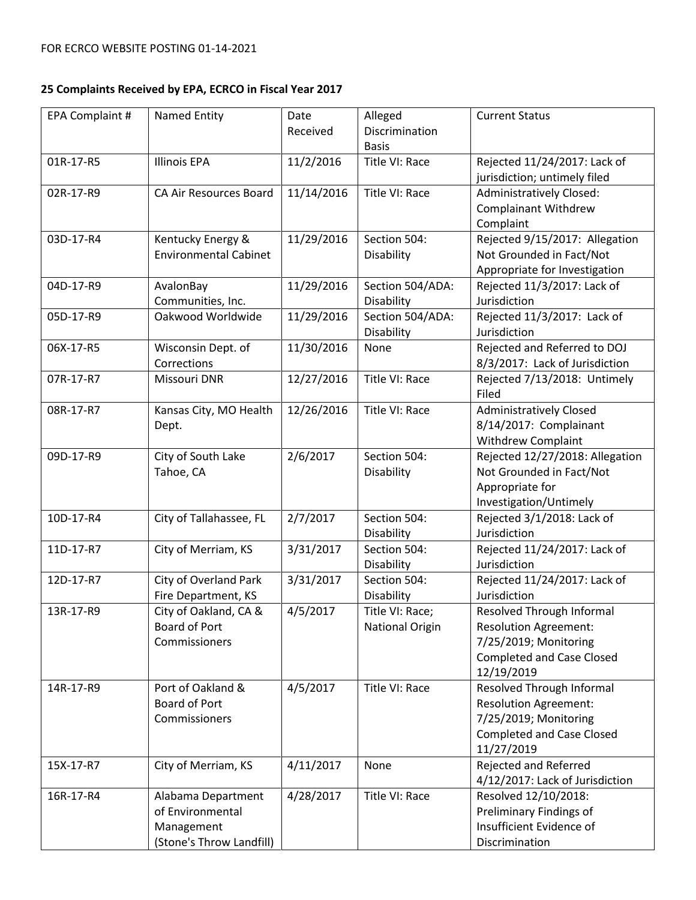| EPA Complaint # | Named Entity                 | Date       | Alleged                        | <b>Current Status</b>                          |
|-----------------|------------------------------|------------|--------------------------------|------------------------------------------------|
|                 |                              | Received   | Discrimination<br><b>Basis</b> |                                                |
| 01R-17-R5       | <b>Illinois EPA</b>          | 11/2/2016  | Title VI: Race                 | Rejected 11/24/2017: Lack of                   |
|                 |                              |            |                                | jurisdiction; untimely filed                   |
| 02R-17-R9       | CA Air Resources Board       | 11/14/2016 | Title VI: Race                 | Administratively Closed:                       |
|                 |                              |            |                                | <b>Complainant Withdrew</b>                    |
|                 |                              |            |                                | Complaint                                      |
| 03D-17-R4       | Kentucky Energy &            | 11/29/2016 | Section 504:                   | Rejected 9/15/2017: Allegation                 |
|                 | <b>Environmental Cabinet</b> |            | Disability                     | Not Grounded in Fact/Not                       |
|                 |                              |            |                                | Appropriate for Investigation                  |
| 04D-17-R9       | AvalonBay                    | 11/29/2016 | Section 504/ADA:               | Rejected 11/3/2017: Lack of                    |
|                 | Communities, Inc.            |            | Disability                     | Jurisdiction                                   |
| 05D-17-R9       | Oakwood Worldwide            | 11/29/2016 | Section 504/ADA:               | Rejected 11/3/2017: Lack of                    |
|                 |                              |            | Disability                     | Jurisdiction                                   |
| 06X-17-R5       | Wisconsin Dept. of           | 11/30/2016 | None                           | Rejected and Referred to DOJ                   |
|                 | Corrections                  |            |                                | 8/3/2017: Lack of Jurisdiction                 |
| 07R-17-R7       | Missouri DNR                 | 12/27/2016 | Title VI: Race                 | Rejected 7/13/2018: Untimely<br>Filed          |
| 08R-17-R7       | Kansas City, MO Health       | 12/26/2016 | Title VI: Race                 | <b>Administratively Closed</b>                 |
|                 | Dept.                        |            |                                | 8/14/2017: Complainant                         |
|                 |                              |            |                                | <b>Withdrew Complaint</b>                      |
| 09D-17-R9       | City of South Lake           | 2/6/2017   | Section 504:                   | Rejected 12/27/2018: Allegation                |
|                 | Tahoe, CA                    |            | Disability                     | Not Grounded in Fact/Not                       |
|                 |                              |            |                                | Appropriate for                                |
|                 |                              |            |                                | Investigation/Untimely                         |
| 10D-17-R4       | City of Tallahassee, FL      | 2/7/2017   | Section 504:                   | Rejected 3/1/2018: Lack of                     |
|                 |                              |            | Disability                     | Jurisdiction                                   |
| 11D-17-R7       | City of Merriam, KS          | 3/31/2017  | Section 504:                   | Rejected 11/24/2017: Lack of                   |
|                 |                              |            | Disability                     | Jurisdiction                                   |
| 12D-17-R7       | City of Overland Park        | 3/31/2017  | Section 504:                   | Rejected 11/24/2017: Lack of                   |
|                 | Fire Department, KS          |            | Disability                     | Jurisdiction                                   |
| 13R-17-R9       | City of Oakland, CA &        | 4/5/2017   | Title VI: Race;                | Resolved Through Informal                      |
|                 | Board of Port                |            | <b>National Origin</b>         | <b>Resolution Agreement:</b>                   |
|                 | Commissioners                |            |                                | 7/25/2019; Monitoring                          |
|                 |                              |            |                                | <b>Completed and Case Closed</b>               |
|                 |                              |            |                                | 12/19/2019                                     |
| 14R-17-R9       | Port of Oakland &            | 4/5/2017   | Title VI: Race                 | Resolved Through Informal                      |
|                 | <b>Board of Port</b>         |            |                                | <b>Resolution Agreement:</b>                   |
|                 | Commissioners                |            |                                | 7/25/2019; Monitoring                          |
|                 |                              |            |                                | <b>Completed and Case Closed</b><br>11/27/2019 |
| 15X-17-R7       | City of Merriam, KS          | 4/11/2017  | None                           | Rejected and Referred                          |
|                 |                              |            |                                | 4/12/2017: Lack of Jurisdiction                |
| 16R-17-R4       | Alabama Department           | 4/28/2017  | Title VI: Race                 | Resolved 12/10/2018:                           |
|                 | of Environmental             |            |                                | Preliminary Findings of                        |
|                 | Management                   |            |                                | Insufficient Evidence of                       |
|                 | (Stone's Throw Landfill)     |            |                                | Discrimination                                 |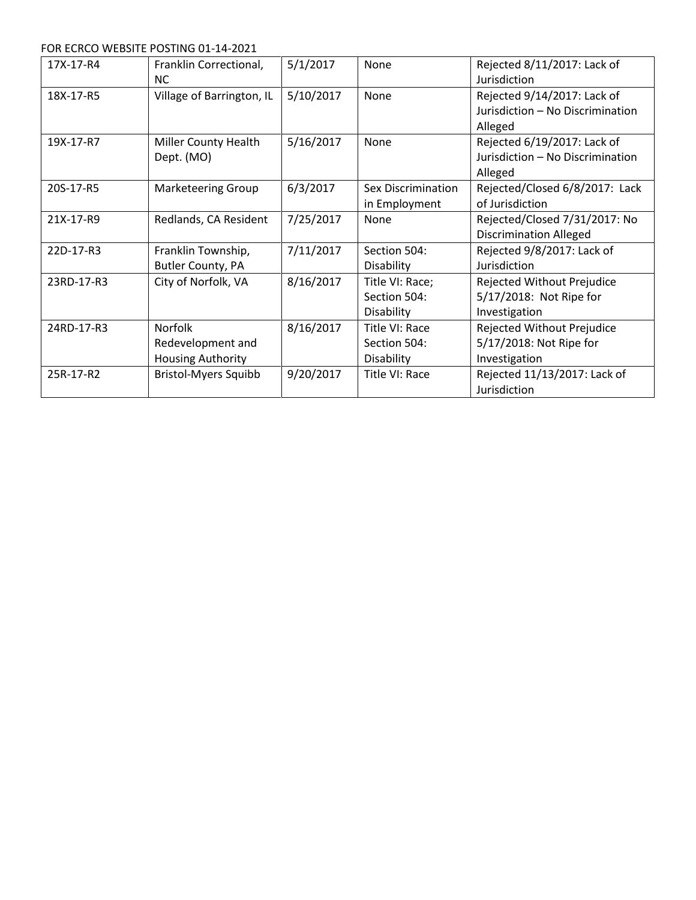FOR ECRCO WEBSITE POSTING 01-14-2021

| 17X-17-R4  | Franklin Correctional,<br><b>NC</b>                             | 5/1/2017  | None                                          | Rejected 8/11/2017: Lack of<br>Jurisdiction                                |
|------------|-----------------------------------------------------------------|-----------|-----------------------------------------------|----------------------------------------------------------------------------|
| 18X-17-R5  | Village of Barrington, IL                                       | 5/10/2017 | None                                          | Rejected 9/14/2017: Lack of<br>Jurisdiction - No Discrimination<br>Alleged |
| 19X-17-R7  | Miller County Health<br>Dept. (MO)                              | 5/16/2017 | None                                          | Rejected 6/19/2017: Lack of<br>Jurisdiction - No Discrimination<br>Alleged |
| 20S-17-R5  | <b>Marketeering Group</b>                                       | 6/3/2017  | Sex Discrimination<br>in Employment           | Rejected/Closed 6/8/2017: Lack<br>of Jurisdiction                          |
| 21X-17-R9  | Redlands, CA Resident                                           | 7/25/2017 | None                                          | Rejected/Closed 7/31/2017: No<br><b>Discrimination Alleged</b>             |
| 22D-17-R3  | Franklin Township,<br>Butler County, PA                         | 7/11/2017 | Section 504:<br>Disability                    | Rejected 9/8/2017: Lack of<br>Jurisdiction                                 |
| 23RD-17-R3 | City of Norfolk, VA                                             | 8/16/2017 | Title VI: Race;<br>Section 504:<br>Disability | Rejected Without Prejudice<br>5/17/2018: Not Ripe for<br>Investigation     |
| 24RD-17-R3 | <b>Norfolk</b><br>Redevelopment and<br><b>Housing Authority</b> | 8/16/2017 | Title VI: Race<br>Section 504:<br>Disability  | Rejected Without Prejudice<br>5/17/2018: Not Ripe for<br>Investigation     |
| 25R-17-R2  | <b>Bristol-Myers Squibb</b>                                     | 9/20/2017 | Title VI: Race                                | Rejected 11/13/2017: Lack of<br>Jurisdiction                               |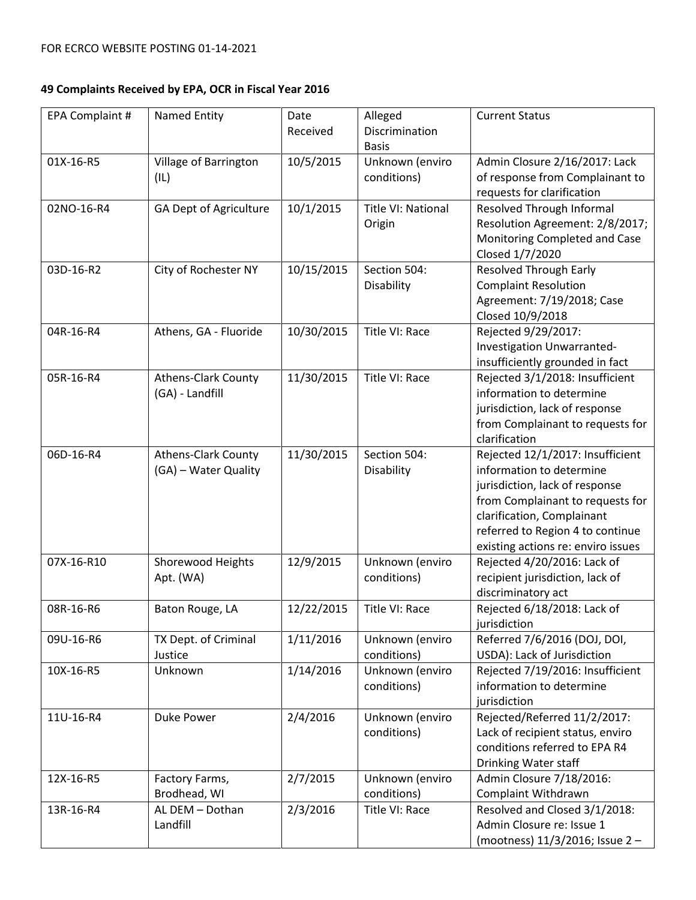| EPA Complaint # | Named Entity                  | Date<br>Received | Alleged<br>Discrimination | <b>Current Status</b>                             |
|-----------------|-------------------------------|------------------|---------------------------|---------------------------------------------------|
|                 |                               |                  | <b>Basis</b>              |                                                   |
| 01X-16-R5       | Village of Barrington         | 10/5/2015        | Unknown (enviro           | Admin Closure 2/16/2017: Lack                     |
|                 | (IL)                          |                  | conditions)               | of response from Complainant to                   |
|                 |                               |                  |                           | requests for clarification                        |
| 02NO-16-R4      | <b>GA Dept of Agriculture</b> | 10/1/2015        | Title VI: National        | Resolved Through Informal                         |
|                 |                               |                  | Origin                    | Resolution Agreement: 2/8/2017;                   |
|                 |                               |                  |                           | Monitoring Completed and Case                     |
|                 |                               |                  |                           | Closed 1/7/2020                                   |
| 03D-16-R2       | City of Rochester NY          | 10/15/2015       | Section 504:              | <b>Resolved Through Early</b>                     |
|                 |                               |                  | Disability                | <b>Complaint Resolution</b>                       |
|                 |                               |                  |                           | Agreement: 7/19/2018; Case                        |
|                 |                               |                  |                           | Closed 10/9/2018                                  |
| 04R-16-R4       | Athens, GA - Fluoride         | 10/30/2015       | Title VI: Race            | Rejected 9/29/2017:                               |
|                 |                               |                  |                           | Investigation Unwarranted-                        |
|                 |                               |                  |                           | insufficiently grounded in fact                   |
| 05R-16-R4       | <b>Athens-Clark County</b>    | 11/30/2015       | Title VI: Race            | Rejected 3/1/2018: Insufficient                   |
|                 | (GA) - Landfill               |                  |                           | information to determine                          |
|                 |                               |                  |                           | jurisdiction, lack of response                    |
|                 |                               |                  |                           | from Complainant to requests for<br>clarification |
| 06D-16-R4       | <b>Athens-Clark County</b>    | 11/30/2015       | Section 504:              | Rejected 12/1/2017: Insufficient                  |
|                 | (GA) - Water Quality          |                  | Disability                | information to determine                          |
|                 |                               |                  |                           | jurisdiction, lack of response                    |
|                 |                               |                  |                           | from Complainant to requests for                  |
|                 |                               |                  |                           | clarification, Complainant                        |
|                 |                               |                  |                           | referred to Region 4 to continue                  |
|                 |                               |                  |                           | existing actions re: enviro issues                |
| 07X-16-R10      | Shorewood Heights             | 12/9/2015        | Unknown (enviro           | Rejected 4/20/2016: Lack of                       |
|                 | Apt. (WA)                     |                  | conditions)               | recipient jurisdiction, lack of                   |
|                 |                               |                  |                           | discriminatory act                                |
| 08R-16-R6       | Baton Rouge, LA               | 12/22/2015       | Title VI: Race            | Rejected 6/18/2018: Lack of                       |
|                 |                               |                  |                           | jurisdiction                                      |
| 09U-16-R6       | TX Dept. of Criminal          | 1/11/2016        | Unknown (enviro           | Referred 7/6/2016 (DOJ, DOI,                      |
|                 | Justice                       |                  | conditions)               | USDA): Lack of Jurisdiction                       |
| 10X-16-R5       | Unknown                       | 1/14/2016        | Unknown (enviro           | Rejected 7/19/2016: Insufficient                  |
|                 |                               |                  | conditions)               | information to determine                          |
|                 |                               |                  |                           | jurisdiction                                      |
| 11U-16-R4       | Duke Power                    | 2/4/2016         | Unknown (enviro           | Rejected/Referred 11/2/2017:                      |
|                 |                               |                  | conditions)               | Lack of recipient status, enviro                  |
|                 |                               |                  |                           | conditions referred to EPA R4                     |
|                 |                               |                  |                           | Drinking Water staff                              |
| 12X-16-R5       | Factory Farms,                | 2/7/2015         | Unknown (enviro           | Admin Closure 7/18/2016:                          |
|                 | Brodhead, WI                  |                  | conditions)               | Complaint Withdrawn                               |
| 13R-16-R4       | AL DEM - Dothan               | 2/3/2016         | Title VI: Race            | Resolved and Closed 3/1/2018:                     |
|                 | Landfill                      |                  |                           | Admin Closure re: Issue 1                         |
|                 |                               |                  |                           | (mootness) 11/3/2016; Issue 2 -                   |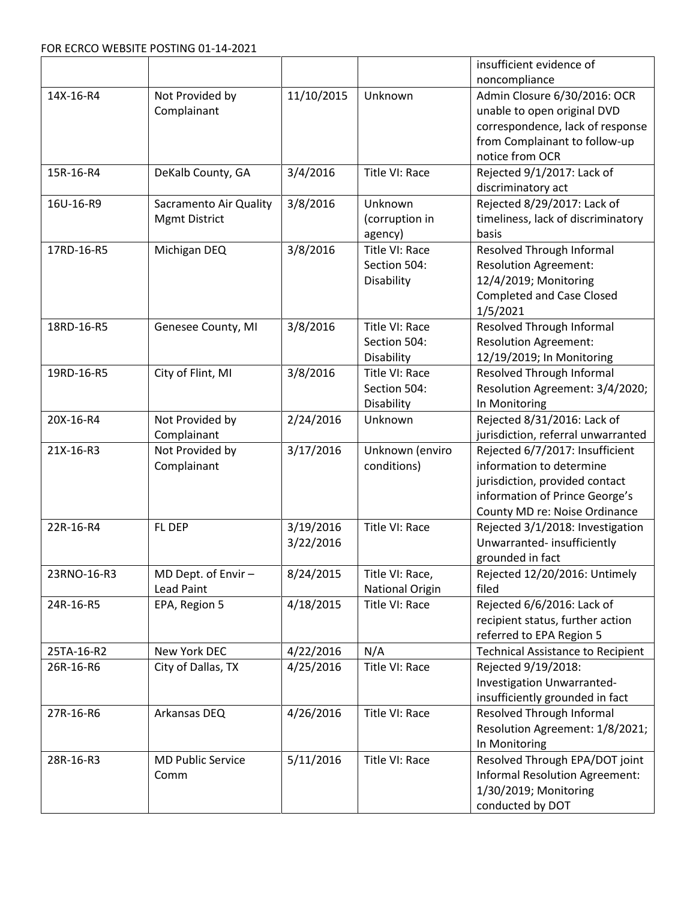|             |                          |            |                        | insufficient evidence of                 |
|-------------|--------------------------|------------|------------------------|------------------------------------------|
|             |                          |            |                        | noncompliance                            |
| 14X-16-R4   | Not Provided by          | 11/10/2015 | Unknown                | Admin Closure 6/30/2016: OCR             |
|             | Complainant              |            |                        | unable to open original DVD              |
|             |                          |            |                        | correspondence, lack of response         |
|             |                          |            |                        | from Complainant to follow-up            |
|             |                          |            |                        | notice from OCR                          |
| 15R-16-R4   | DeKalb County, GA        | 3/4/2016   | Title VI: Race         | Rejected 9/1/2017: Lack of               |
|             |                          |            |                        | discriminatory act                       |
| 16U-16-R9   | Sacramento Air Quality   | 3/8/2016   | Unknown                | Rejected 8/29/2017: Lack of              |
|             | <b>Mgmt District</b>     |            | (corruption in         | timeliness, lack of discriminatory       |
|             |                          |            | agency)                | basis                                    |
| 17RD-16-R5  | Michigan DEQ             | 3/8/2016   | Title VI: Race         | Resolved Through Informal                |
|             |                          |            | Section 504:           | <b>Resolution Agreement:</b>             |
|             |                          |            | Disability             | 12/4/2019; Monitoring                    |
|             |                          |            |                        | <b>Completed and Case Closed</b>         |
|             |                          |            |                        | 1/5/2021                                 |
| 18RD-16-R5  | Genesee County, MI       | 3/8/2016   | Title VI: Race         | Resolved Through Informal                |
|             |                          |            | Section 504:           | <b>Resolution Agreement:</b>             |
|             |                          |            | Disability             | 12/19/2019; In Monitoring                |
| 19RD-16-R5  | City of Flint, MI        | 3/8/2016   | Title VI: Race         | Resolved Through Informal                |
|             |                          |            | Section 504:           | Resolution Agreement: 3/4/2020;          |
|             |                          |            | Disability             | In Monitoring                            |
| 20X-16-R4   | Not Provided by          | 2/24/2016  | Unknown                | Rejected 8/31/2016: Lack of              |
|             | Complainant              |            |                        | jurisdiction, referral unwarranted       |
| 21X-16-R3   | Not Provided by          | 3/17/2016  | Unknown (enviro        | Rejected 6/7/2017: Insufficient          |
|             | Complainant              |            | conditions)            | information to determine                 |
|             |                          |            |                        | jurisdiction, provided contact           |
|             |                          |            |                        | information of Prince George's           |
|             |                          |            |                        | County MD re: Noise Ordinance            |
| 22R-16-R4   | FL DEP                   | 3/19/2016  | Title VI: Race         | Rejected 3/1/2018: Investigation         |
|             |                          | 3/22/2016  |                        | Unwarranted-insufficiently               |
|             |                          |            |                        | grounded in fact                         |
| 23RNO-16-R3 | MD Dept. of Envir -      | 8/24/2015  | Title VI: Race,        | Rejected 12/20/2016: Untimely            |
|             | <b>Lead Paint</b>        |            | <b>National Origin</b> | filed                                    |
| 24R-16-R5   | EPA, Region 5            | 4/18/2015  | Title VI: Race         | Rejected 6/6/2016: Lack of               |
|             |                          |            |                        | recipient status, further action         |
|             |                          |            |                        | referred to EPA Region 5                 |
| 25TA-16-R2  | New York DEC             | 4/22/2016  | N/A                    | <b>Technical Assistance to Recipient</b> |
| 26R-16-R6   | City of Dallas, TX       | 4/25/2016  | Title VI: Race         | Rejected 9/19/2018:                      |
|             |                          |            |                        | Investigation Unwarranted-               |
|             |                          |            |                        | insufficiently grounded in fact          |
| 27R-16-R6   | Arkansas DEQ             | 4/26/2016  | Title VI: Race         | Resolved Through Informal                |
|             |                          |            |                        | Resolution Agreement: 1/8/2021;          |
|             |                          |            |                        | In Monitoring                            |
| 28R-16-R3   | <b>MD Public Service</b> | 5/11/2016  | Title VI: Race         | Resolved Through EPA/DOT joint           |
|             | Comm                     |            |                        | Informal Resolution Agreement:           |
|             |                          |            |                        | 1/30/2019; Monitoring                    |
|             |                          |            |                        | conducted by DOT                         |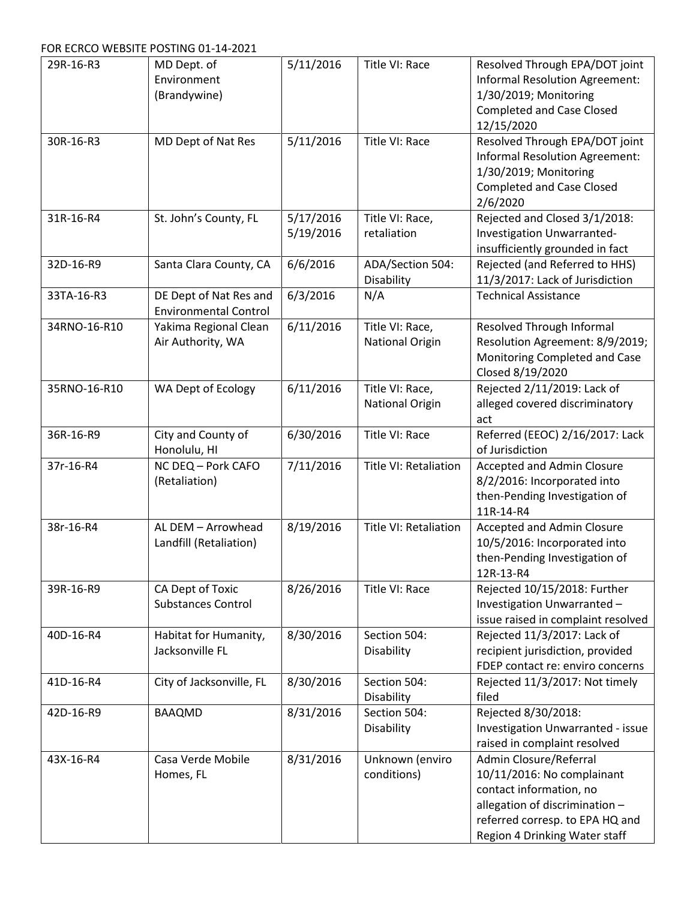FOR ECRCO WEBSITE POSTING 01-14-2021

| 29R-16-R3    | MD Dept. of<br>Environment<br>(Brandywine)             | 5/11/2016              | Title VI: Race                            | Resolved Through EPA/DOT joint<br><b>Informal Resolution Agreement:</b><br>1/30/2019; Monitoring<br><b>Completed and Case Closed</b><br>12/15/2020                                    |
|--------------|--------------------------------------------------------|------------------------|-------------------------------------------|---------------------------------------------------------------------------------------------------------------------------------------------------------------------------------------|
| 30R-16-R3    | MD Dept of Nat Res                                     | 5/11/2016              | Title VI: Race                            | Resolved Through EPA/DOT joint<br><b>Informal Resolution Agreement:</b><br>1/30/2019; Monitoring<br><b>Completed and Case Closed</b><br>2/6/2020                                      |
| 31R-16-R4    | St. John's County, FL                                  | 5/17/2016<br>5/19/2016 | Title VI: Race,<br>retaliation            | Rejected and Closed 3/1/2018:<br>Investigation Unwarranted-<br>insufficiently grounded in fact                                                                                        |
| 32D-16-R9    | Santa Clara County, CA                                 | 6/6/2016               | ADA/Section 504:<br>Disability            | Rejected (and Referred to HHS)<br>11/3/2017: Lack of Jurisdiction                                                                                                                     |
| 33TA-16-R3   | DE Dept of Nat Res and<br><b>Environmental Control</b> | 6/3/2016               | N/A                                       | <b>Technical Assistance</b>                                                                                                                                                           |
| 34RNO-16-R10 | Yakima Regional Clean<br>Air Authority, WA             | 6/11/2016              | Title VI: Race,<br><b>National Origin</b> | Resolved Through Informal<br>Resolution Agreement: 8/9/2019;<br>Monitoring Completed and Case<br>Closed 8/19/2020                                                                     |
| 35RNO-16-R10 | WA Dept of Ecology                                     | 6/11/2016              | Title VI: Race,<br><b>National Origin</b> | Rejected 2/11/2019: Lack of<br>alleged covered discriminatory<br>act                                                                                                                  |
| 36R-16-R9    | City and County of<br>Honolulu, HI                     | 6/30/2016              | Title VI: Race                            | Referred (EEOC) 2/16/2017: Lack<br>of Jurisdiction                                                                                                                                    |
| 37r-16-R4    | NC DEQ - Pork CAFO<br>(Retaliation)                    | 7/11/2016              | Title VI: Retaliation                     | Accepted and Admin Closure<br>8/2/2016: Incorporated into<br>then-Pending Investigation of<br>11R-14-R4                                                                               |
| 38r-16-R4    | AL DEM - Arrowhead<br>Landfill (Retaliation)           | 8/19/2016              | Title VI: Retaliation                     | Accepted and Admin Closure<br>10/5/2016: Incorporated into<br>then-Pending Investigation of<br>12R-13-R4                                                                              |
| 39R-16-R9    | CA Dept of Toxic<br><b>Substances Control</b>          | 8/26/2016              | Title VI: Race                            | Rejected 10/15/2018: Further<br>Investigation Unwarranted-<br>issue raised in complaint resolved                                                                                      |
| 40D-16-R4    | Habitat for Humanity,<br>Jacksonville FL               | 8/30/2016              | Section 504:<br>Disability                | Rejected 11/3/2017: Lack of<br>recipient jurisdiction, provided<br>FDEP contact re: enviro concerns                                                                                   |
| 41D-16-R4    | City of Jacksonville, FL                               | 8/30/2016              | Section 504:<br>Disability                | Rejected 11/3/2017: Not timely<br>filed                                                                                                                                               |
| 42D-16-R9    | <b>BAAQMD</b>                                          | 8/31/2016              | Section 504:<br>Disability                | Rejected 8/30/2018:<br>Investigation Unwarranted - issue<br>raised in complaint resolved                                                                                              |
| 43X-16-R4    | Casa Verde Mobile<br>Homes, FL                         | 8/31/2016              | Unknown (enviro<br>conditions)            | Admin Closure/Referral<br>10/11/2016: No complainant<br>contact information, no<br>allegation of discrimination -<br>referred corresp. to EPA HQ and<br>Region 4 Drinking Water staff |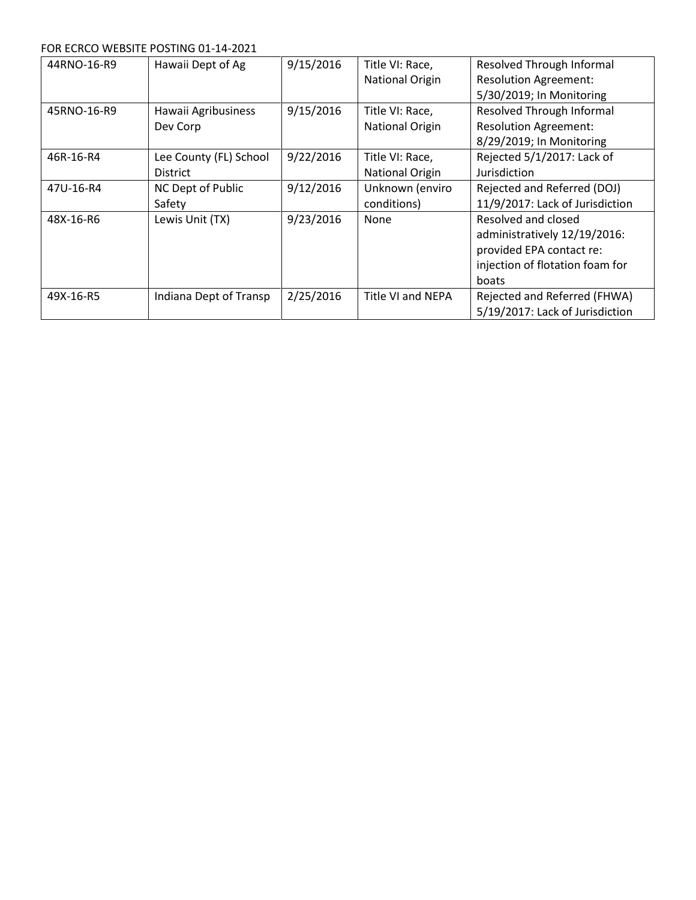#### FOR ECRCO WEBSITE POSTING 01-14-2021

| 44RNO-16-R9 | Hawaii Dept of Ag                         | 9/15/2016 | Title VI: Race,<br><b>National Origin</b> | Resolved Through Informal<br><b>Resolution Agreement:</b><br>5/30/2019; In Monitoring                                       |
|-------------|-------------------------------------------|-----------|-------------------------------------------|-----------------------------------------------------------------------------------------------------------------------------|
| 45RNO-16-R9 | Hawaii Agribusiness<br>Dev Corp           | 9/15/2016 | Title VI: Race,<br><b>National Origin</b> | Resolved Through Informal<br><b>Resolution Agreement:</b><br>8/29/2019; In Monitoring                                       |
| 46R-16-R4   | Lee County (FL) School<br><b>District</b> | 9/22/2016 | Title VI: Race,<br><b>National Origin</b> | Rejected 5/1/2017: Lack of<br>Jurisdiction                                                                                  |
| 47U-16-R4   | NC Dept of Public<br>Safety               | 9/12/2016 | Unknown (enviro<br>conditions)            | Rejected and Referred (DOJ)<br>11/9/2017: Lack of Jurisdiction                                                              |
| 48X-16-R6   | Lewis Unit (TX)                           | 9/23/2016 | None                                      | Resolved and closed<br>administratively 12/19/2016:<br>provided EPA contact re:<br>injection of flotation foam for<br>boats |
| 49X-16-R5   | Indiana Dept of Transp                    | 2/25/2016 | <b>Title VI and NEPA</b>                  | Rejected and Referred (FHWA)<br>5/19/2017: Lack of Jurisdiction                                                             |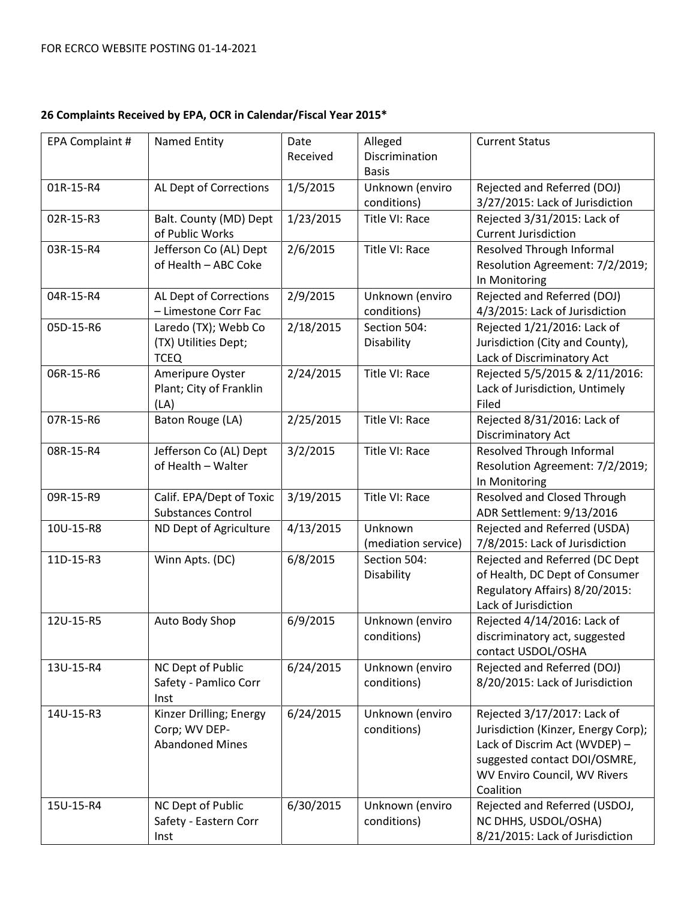# **26 Complaints Received by EPA, OCR in Calendar/Fiscal Year 2015\***

| EPA Complaint # | <b>Named Entity</b>                                                | Date<br>Received | Alleged<br>Discrimination      | <b>Current Status</b>                                                                                                                                                            |
|-----------------|--------------------------------------------------------------------|------------------|--------------------------------|----------------------------------------------------------------------------------------------------------------------------------------------------------------------------------|
|                 |                                                                    |                  | <b>Basis</b>                   |                                                                                                                                                                                  |
| 01R-15-R4       | AL Dept of Corrections                                             | 1/5/2015         | Unknown (enviro<br>conditions) | Rejected and Referred (DOJ)<br>3/27/2015: Lack of Jurisdiction                                                                                                                   |
| 02R-15-R3       | Balt. County (MD) Dept<br>of Public Works                          | 1/23/2015        | Title VI: Race                 | Rejected 3/31/2015: Lack of<br><b>Current Jurisdiction</b>                                                                                                                       |
| 03R-15-R4       | Jefferson Co (AL) Dept<br>of Health - ABC Coke                     | 2/6/2015         | Title VI: Race                 | Resolved Through Informal<br>Resolution Agreement: 7/2/2019;<br>In Monitoring                                                                                                    |
| 04R-15-R4       | AL Dept of Corrections<br>- Limestone Corr Fac                     | 2/9/2015         | Unknown (enviro<br>conditions) | Rejected and Referred (DOJ)<br>4/3/2015: Lack of Jurisdiction                                                                                                                    |
| 05D-15-R6       | Laredo (TX); Webb Co<br>(TX) Utilities Dept;<br><b>TCEQ</b>        | 2/18/2015        | Section 504:<br>Disability     | Rejected 1/21/2016: Lack of<br>Jurisdiction (City and County),<br>Lack of Discriminatory Act                                                                                     |
| 06R-15-R6       | Ameripure Oyster<br>Plant; City of Franklin<br>(LA)                | 2/24/2015        | Title VI: Race                 | Rejected 5/5/2015 & 2/11/2016:<br>Lack of Jurisdiction, Untimely<br>Filed                                                                                                        |
| 07R-15-R6       | Baton Rouge (LA)                                                   | 2/25/2015        | Title VI: Race                 | Rejected 8/31/2016: Lack of<br>Discriminatory Act                                                                                                                                |
| 08R-15-R4       | Jefferson Co (AL) Dept<br>of Health - Walter                       | 3/2/2015         | Title VI: Race                 | Resolved Through Informal<br>Resolution Agreement: 7/2/2019;<br>In Monitoring                                                                                                    |
| 09R-15-R9       | Calif. EPA/Dept of Toxic<br><b>Substances Control</b>              | 3/19/2015        | Title VI: Race                 | Resolved and Closed Through<br>ADR Settlement: 9/13/2016                                                                                                                         |
| 10U-15-R8       | ND Dept of Agriculture                                             | 4/13/2015        | Unknown<br>(mediation service) | Rejected and Referred (USDA)<br>7/8/2015: Lack of Jurisdiction                                                                                                                   |
| 11D-15-R3       | Winn Apts. (DC)                                                    | 6/8/2015         | Section 504:<br>Disability     | Rejected and Referred (DC Dept<br>of Health, DC Dept of Consumer<br>Regulatory Affairs) 8/20/2015:<br>Lack of Jurisdiction                                                       |
| 12U-15-R5       | Auto Body Shop                                                     | 6/9/2015         | Unknown (enviro<br>conditions) | Rejected 4/14/2016: Lack of<br>discriminatory act, suggested<br>contact USDOL/OSHA                                                                                               |
| 13U-15-R4       | NC Dept of Public<br>Safety - Pamlico Corr<br>Inst                 | 6/24/2015        | Unknown (enviro<br>conditions) | Rejected and Referred (DOJ)<br>8/20/2015: Lack of Jurisdiction                                                                                                                   |
| 14U-15-R3       | Kinzer Drilling; Energy<br>Corp; WV DEP-<br><b>Abandoned Mines</b> | 6/24/2015        | Unknown (enviro<br>conditions) | Rejected 3/17/2017: Lack of<br>Jurisdiction (Kinzer, Energy Corp);<br>Lack of Discrim Act (WVDEP) -<br>suggested contact DOI/OSMRE,<br>WV Enviro Council, WV Rivers<br>Coalition |
| 15U-15-R4       | NC Dept of Public<br>Safety - Eastern Corr<br>Inst                 | 6/30/2015        | Unknown (enviro<br>conditions) | Rejected and Referred (USDOJ,<br>NC DHHS, USDOL/OSHA)<br>8/21/2015: Lack of Jurisdiction                                                                                         |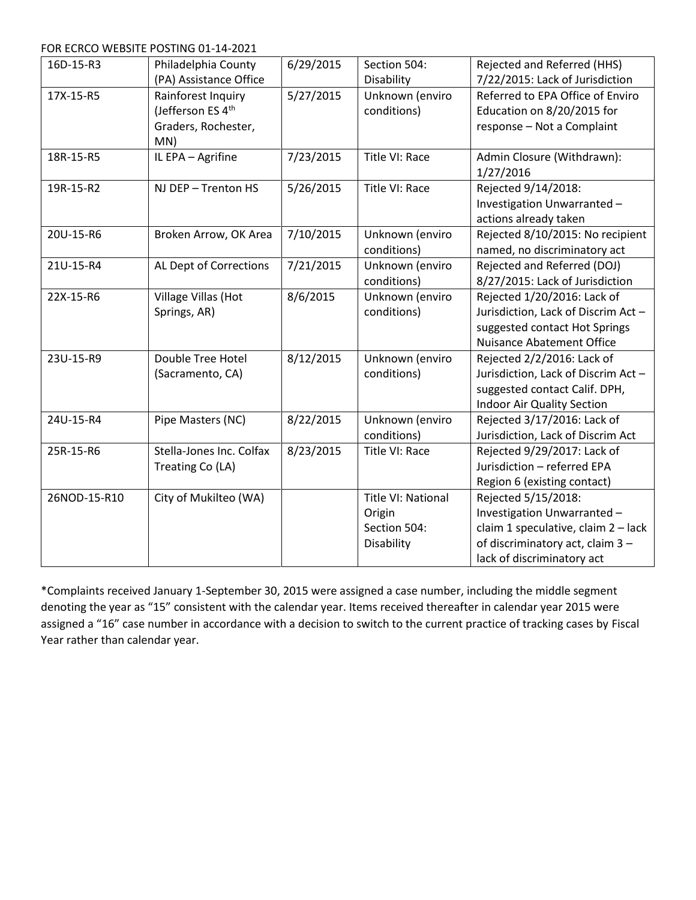FOR ECRCO WEBSITE POSTING 01-14-2021

| 16D-15-R3    | Philadelphia County           | 6/29/2015 | Section 504:              | Rejected and Referred (HHS)         |
|--------------|-------------------------------|-----------|---------------------------|-------------------------------------|
|              | (PA) Assistance Office        |           | Disability                | 7/22/2015: Lack of Jurisdiction     |
| 17X-15-R5    | Rainforest Inquiry            | 5/27/2015 | Unknown (enviro           | Referred to EPA Office of Enviro    |
|              | (Jefferson ES 4 <sup>th</sup> |           | conditions)               | Education on 8/20/2015 for          |
|              | Graders, Rochester,           |           |                           | response - Not a Complaint          |
|              | MN)                           |           |                           |                                     |
| 18R-15-R5    | IL EPA - Agrifine             | 7/23/2015 | Title VI: Race            | Admin Closure (Withdrawn):          |
|              |                               |           |                           | 1/27/2016                           |
| 19R-15-R2    | NJ DEP - Trenton HS           | 5/26/2015 | Title VI: Race            | Rejected 9/14/2018:                 |
|              |                               |           |                           | Investigation Unwarranted-          |
|              |                               |           |                           | actions already taken               |
| 20U-15-R6    | Broken Arrow, OK Area         | 7/10/2015 | Unknown (enviro           | Rejected 8/10/2015: No recipient    |
|              |                               |           | conditions)               | named, no discriminatory act        |
| 21U-15-R4    | AL Dept of Corrections        | 7/21/2015 | Unknown (enviro           | Rejected and Referred (DOJ)         |
|              |                               |           | conditions)               | 8/27/2015: Lack of Jurisdiction     |
| 22X-15-R6    | Village Villas (Hot           | 8/6/2015  | Unknown (enviro           | Rejected 1/20/2016: Lack of         |
|              | Springs, AR)                  |           | conditions)               | Jurisdiction, Lack of Discrim Act - |
|              |                               |           |                           | suggested contact Hot Springs       |
|              |                               |           |                           | <b>Nuisance Abatement Office</b>    |
| 23U-15-R9    | Double Tree Hotel             | 8/12/2015 | Unknown (enviro           | Rejected 2/2/2016: Lack of          |
|              | (Sacramento, CA)              |           | conditions)               | Jurisdiction, Lack of Discrim Act-  |
|              |                               |           |                           | suggested contact Calif. DPH,       |
|              |                               |           |                           | Indoor Air Quality Section          |
| 24U-15-R4    | Pipe Masters (NC)             | 8/22/2015 | Unknown (enviro           | Rejected 3/17/2016: Lack of         |
|              |                               |           | conditions)               | Jurisdiction, Lack of Discrim Act   |
| 25R-15-R6    | Stella-Jones Inc. Colfax      | 8/23/2015 | Title VI: Race            | Rejected 9/29/2017: Lack of         |
|              | Treating Co (LA)              |           |                           | Jurisdiction - referred EPA         |
|              |                               |           |                           | Region 6 (existing contact)         |
| 26NOD-15-R10 | City of Mukilteo (WA)         |           | <b>Title VI: National</b> | Rejected 5/15/2018:                 |
|              |                               |           | Origin                    | Investigation Unwarranted-          |
|              |                               |           | Section 504:              | claim 1 speculative, claim 2 - lack |
|              |                               |           | Disability                | of discriminatory act, claim 3 -    |
|              |                               |           |                           | lack of discriminatory act          |

\*Complaints received January 1-September 30, 2015 were assigned a case number, including the middle segment denoting the year as "15" consistent with the calendar year. Items received thereafter in calendar year 2015 were assigned a "16" case number in accordance with a decision to switch to the current practice of tracking cases by Fiscal Year rather than calendar year.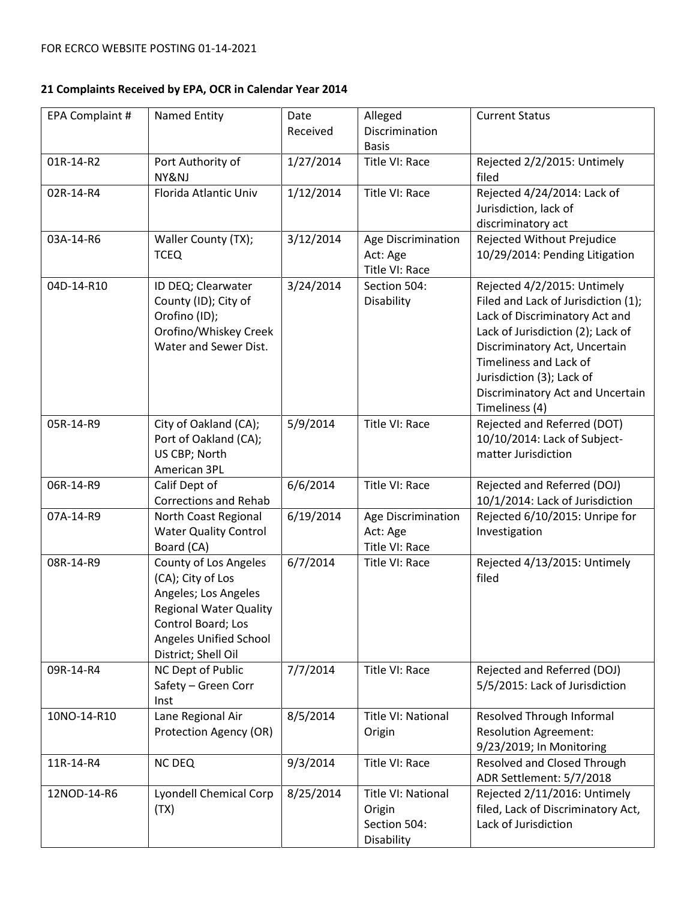## **21 Complaints Received by EPA, OCR in Calendar Year 2014**

| EPA Complaint # | <b>Named Entity</b>                                                                                                                                                        | Date<br>Received | Alleged<br>Discrimination<br><b>Basis</b>                         | <b>Current Status</b>                                                                                                                                                                                                                                                                   |
|-----------------|----------------------------------------------------------------------------------------------------------------------------------------------------------------------------|------------------|-------------------------------------------------------------------|-----------------------------------------------------------------------------------------------------------------------------------------------------------------------------------------------------------------------------------------------------------------------------------------|
| 01R-14-R2       | Port Authority of<br>NY&NJ                                                                                                                                                 | 1/27/2014        | Title VI: Race                                                    | Rejected 2/2/2015: Untimely<br>filed                                                                                                                                                                                                                                                    |
| 02R-14-R4       | Florida Atlantic Univ                                                                                                                                                      | 1/12/2014        | Title VI: Race                                                    | Rejected 4/24/2014: Lack of<br>Jurisdiction, lack of<br>discriminatory act                                                                                                                                                                                                              |
| 03A-14-R6       | Waller County (TX);<br><b>TCEQ</b>                                                                                                                                         | 3/12/2014        | Age Discrimination<br>Act: Age<br>Title VI: Race                  | Rejected Without Prejudice<br>10/29/2014: Pending Litigation                                                                                                                                                                                                                            |
| 04D-14-R10      | ID DEQ; Clearwater<br>County (ID); City of<br>Orofino (ID);<br>Orofino/Whiskey Creek<br>Water and Sewer Dist.                                                              | 3/24/2014        | Section 504:<br>Disability                                        | Rejected 4/2/2015: Untimely<br>Filed and Lack of Jurisdiction (1);<br>Lack of Discriminatory Act and<br>Lack of Jurisdiction (2); Lack of<br>Discriminatory Act, Uncertain<br>Timeliness and Lack of<br>Jurisdiction (3); Lack of<br>Discriminatory Act and Uncertain<br>Timeliness (4) |
| 05R-14-R9       | City of Oakland (CA);<br>Port of Oakland (CA);<br>US CBP; North<br>American 3PL                                                                                            | 5/9/2014         | Title VI: Race                                                    | Rejected and Referred (DOT)<br>10/10/2014: Lack of Subject-<br>matter Jurisdiction                                                                                                                                                                                                      |
| 06R-14-R9       | Calif Dept of<br><b>Corrections and Rehab</b>                                                                                                                              | 6/6/2014         | Title VI: Race                                                    | Rejected and Referred (DOJ)<br>10/1/2014: Lack of Jurisdiction                                                                                                                                                                                                                          |
| 07A-14-R9       | North Coast Regional<br><b>Water Quality Control</b><br>Board (CA)                                                                                                         | 6/19/2014        | Age Discrimination<br>Act: Age<br>Title VI: Race                  | Rejected 6/10/2015: Unripe for<br>Investigation                                                                                                                                                                                                                                         |
| 08R-14-R9       | County of Los Angeles<br>(CA); City of Los<br>Angeles; Los Angeles<br><b>Regional Water Quality</b><br>Control Board; Los<br>Angeles Unified School<br>District; Shell Oil | 6/7/2014         | Title VI: Race                                                    | Rejected 4/13/2015: Untimely<br>filed                                                                                                                                                                                                                                                   |
| 09R-14-R4       | NC Dept of Public<br>Safety - Green Corr<br>Inst                                                                                                                           | 7/7/2014         | Title VI: Race                                                    | Rejected and Referred (DOJ)<br>5/5/2015: Lack of Jurisdiction                                                                                                                                                                                                                           |
| 10NO-14-R10     | Lane Regional Air<br>Protection Agency (OR)                                                                                                                                | 8/5/2014         | <b>Title VI: National</b><br>Origin                               | <b>Resolved Through Informal</b><br><b>Resolution Agreement:</b><br>9/23/2019; In Monitoring                                                                                                                                                                                            |
| 11R-14-R4       | <b>NC DEQ</b>                                                                                                                                                              | 9/3/2014         | Title VI: Race                                                    | Resolved and Closed Through<br>ADR Settlement: 5/7/2018                                                                                                                                                                                                                                 |
| 12NOD-14-R6     | <b>Lyondell Chemical Corp</b><br>(TX)                                                                                                                                      | 8/25/2014        | <b>Title VI: National</b><br>Origin<br>Section 504:<br>Disability | Rejected 2/11/2016: Untimely<br>filed, Lack of Discriminatory Act,<br>Lack of Jurisdiction                                                                                                                                                                                              |